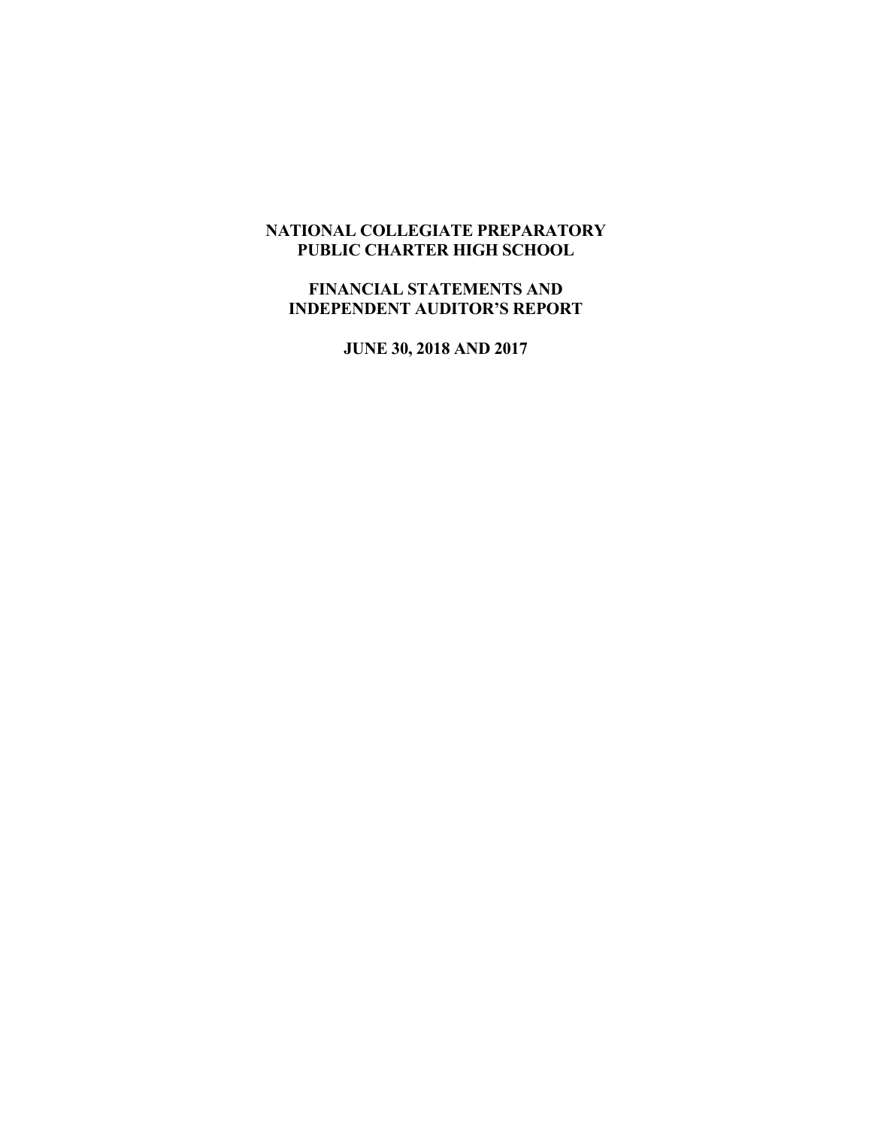# **NATIONAL COLLEGIATE PREPARATORY PUBLIC CHARTER HIGH SCHOOL**

**FINANCIAL STATEMENTS AND INDEPENDENT AUDITOR'S REPORT**

**JUNE 30, 2018 AND 2017**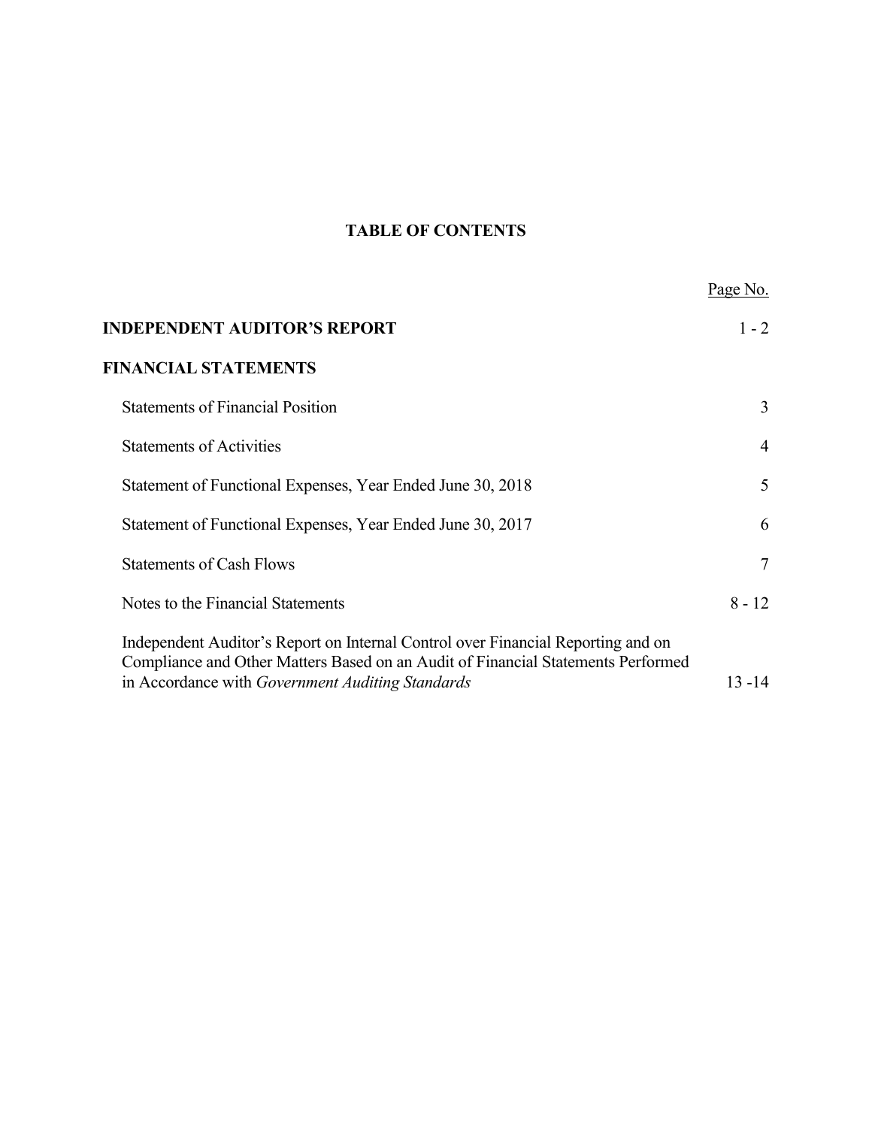# **TABLE OF CONTENTS**

|                                                                                                                                                                      | Page No.       |
|----------------------------------------------------------------------------------------------------------------------------------------------------------------------|----------------|
| <b>INDEPENDENT AUDITOR'S REPORT</b>                                                                                                                                  | $1 - 2$        |
| <b>FINANCIAL STATEMENTS</b>                                                                                                                                          |                |
| <b>Statements of Financial Position</b>                                                                                                                              | 3              |
| <b>Statements of Activities</b>                                                                                                                                      | $\overline{4}$ |
| Statement of Functional Expenses, Year Ended June 30, 2018                                                                                                           | 5              |
| Statement of Functional Expenses, Year Ended June 30, 2017                                                                                                           | 6              |
| <b>Statements of Cash Flows</b>                                                                                                                                      | $\overline{7}$ |
| Notes to the Financial Statements                                                                                                                                    | $8 - 12$       |
| Independent Auditor's Report on Internal Control over Financial Reporting and on<br>Compliance and Other Matters Based on an Audit of Financial Statements Performed |                |
| in Accordance with Government Auditing Standards                                                                                                                     | $13 - 14$      |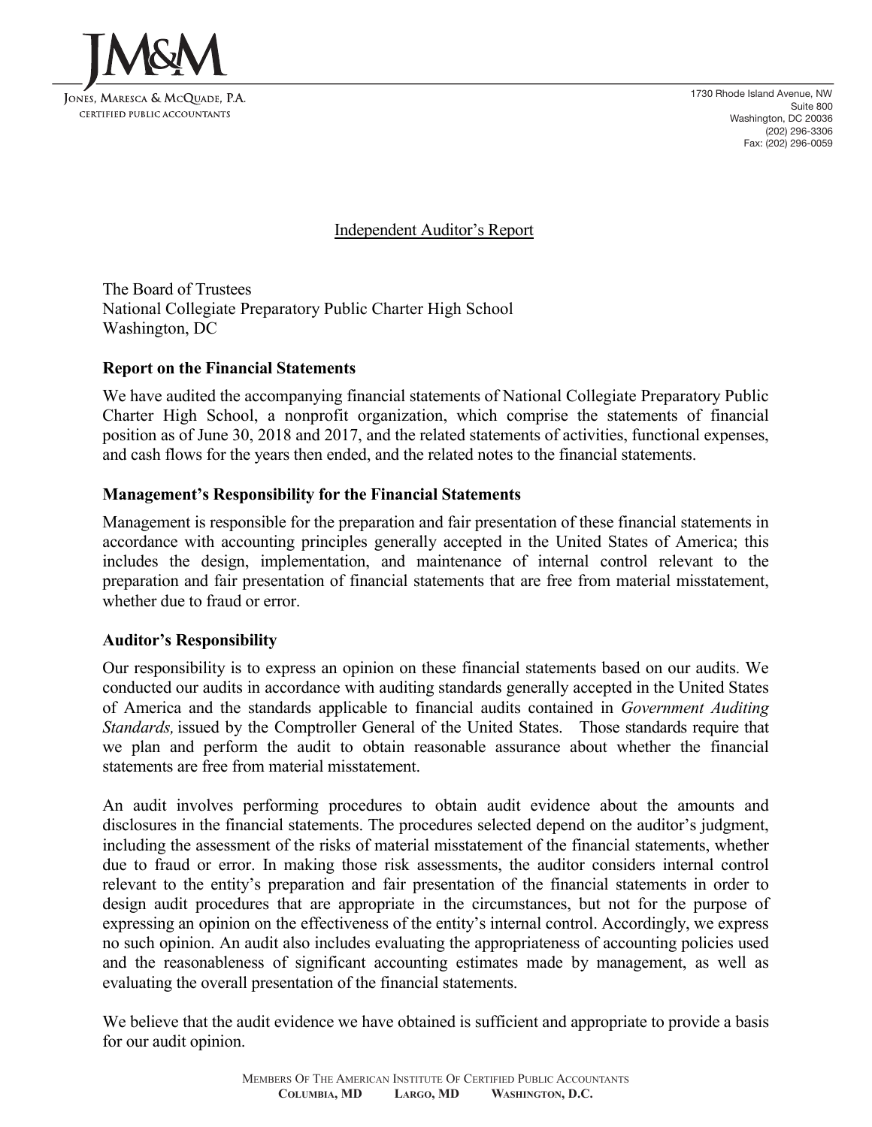

1730 Rhode Island Avenue, NW Suite 800 Washington, DC 20036 (202) 296-3306 Fax: (202) 296-0059

Independent Auditor's Report

The Board of Trustees National Collegiate Preparatory Public Charter High School Washington, DC

## **Report on the Financial Statements**

We have audited the accompanying financial statements of National Collegiate Preparatory Public Charter High School, a nonprofit organization, which comprise the statements of financial position as of June 30, 2018 and 2017, and the related statements of activities, functional expenses, and cash flows for the years then ended, and the related notes to the financial statements.

## **Management's Responsibility for the Financial Statements**

Management is responsible for the preparation and fair presentation of these financial statements in accordance with accounting principles generally accepted in the United States of America; this includes the design, implementation, and maintenance of internal control relevant to the preparation and fair presentation of financial statements that are free from material misstatement, whether due to fraud or error.

## **Auditor's Responsibility**

Our responsibility is to express an opinion on these financial statements based on our audits. We conducted our audits in accordance with auditing standards generally accepted in the United States of America and the standards applicable to financial audits contained in *Government Auditing Standards,* issued by the Comptroller General of the United States. Those standards require that we plan and perform the audit to obtain reasonable assurance about whether the financial statements are free from material misstatement.

An audit involves performing procedures to obtain audit evidence about the amounts and disclosures in the financial statements. The procedures selected depend on the auditor's judgment, including the assessment of the risks of material misstatement of the financial statements, whether due to fraud or error. In making those risk assessments, the auditor considers internal control relevant to the entity's preparation and fair presentation of the financial statements in order to design audit procedures that are appropriate in the circumstances, but not for the purpose of expressing an opinion on the effectiveness of the entity's internal control. Accordingly, we express no such opinion. An audit also includes evaluating the appropriateness of accounting policies used and the reasonableness of significant accounting estimates made by management, as well as evaluating the overall presentation of the financial statements.

We believe that the audit evidence we have obtained is sufficient and appropriate to provide a basis for our audit opinion.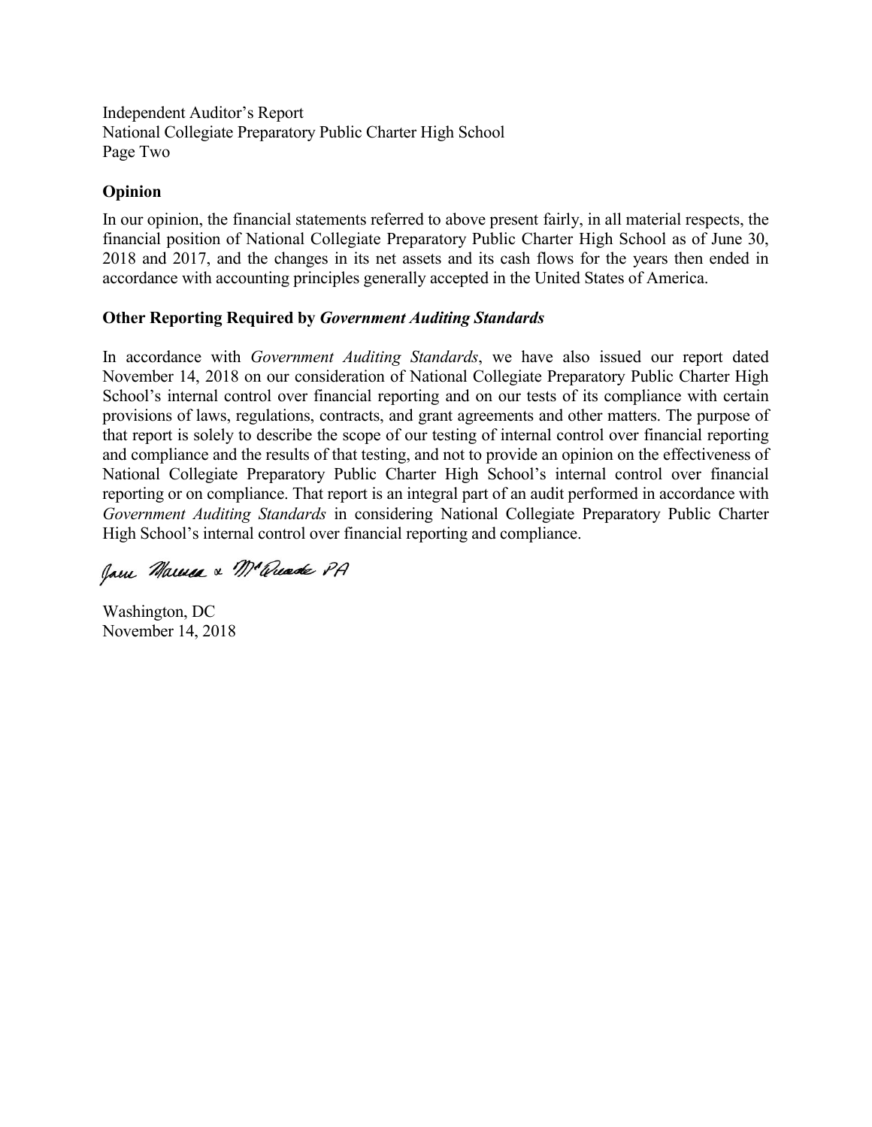Independent Auditor's Report National Collegiate Preparatory Public Charter High School Page Two

# **Opinion**

In our opinion, the financial statements referred to above present fairly, in all material respects, the financial position of National Collegiate Preparatory Public Charter High School as of June 30, 2018 and 2017, and the changes in its net assets and its cash flows for the years then ended in accordance with accounting principles generally accepted in the United States of America.

## **Other Reporting Required by** *Government Auditing Standards*

In accordance with *Government Auditing Standards*, we have also issued our report dated November 14, 2018 on our consideration of National Collegiate Preparatory Public Charter High School's internal control over financial reporting and on our tests of its compliance with certain provisions of laws, regulations, contracts, and grant agreements and other matters. The purpose of that report is solely to describe the scope of our testing of internal control over financial reporting and compliance and the results of that testing, and not to provide an opinion on the effectiveness of National Collegiate Preparatory Public Charter High School's internal control over financial reporting or on compliance. That report is an integral part of an audit performed in accordance with *Government Auditing Standards* in considering National Collegiate Preparatory Public Charter High School's internal control over financial reporting and compliance.

Jam Marie & Ma Quade PA

Washington, DC November 14, 2018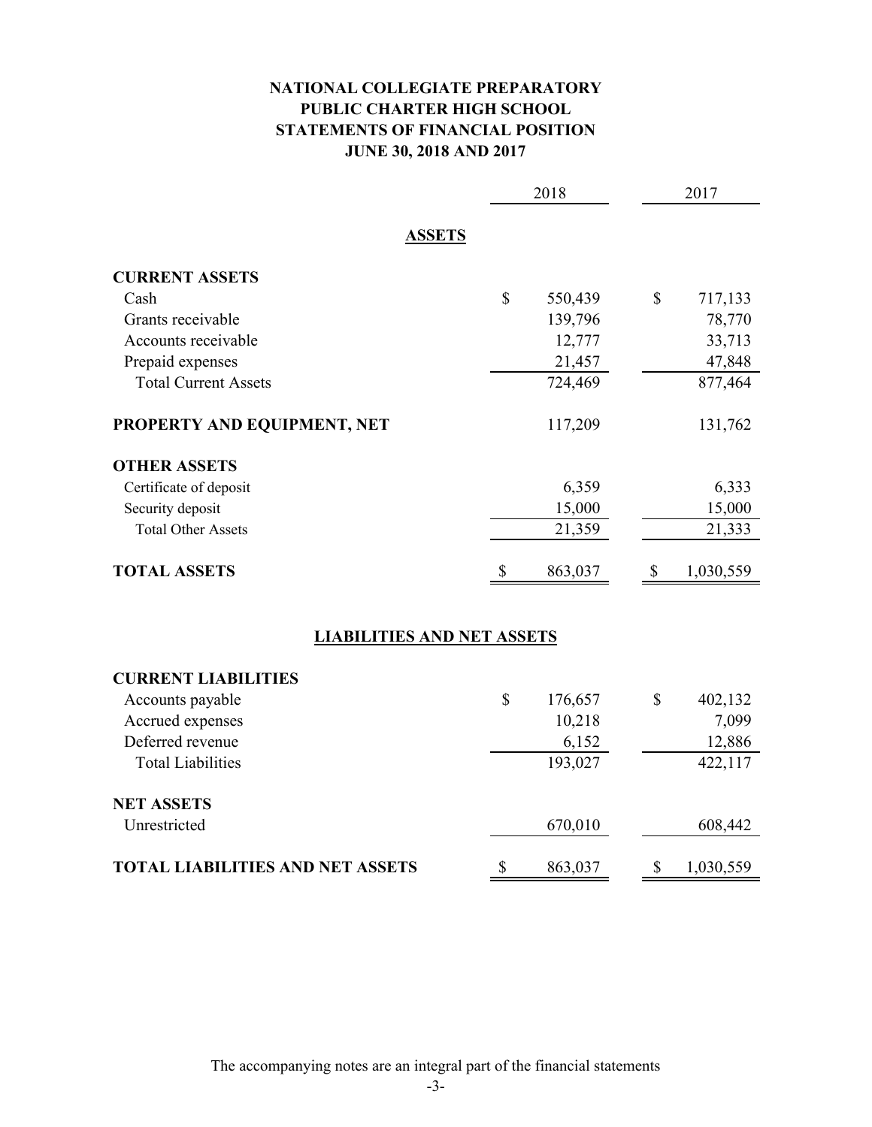# **NATIONAL COLLEGIATE PREPARATORY PUBLIC CHARTER HIGH SCHOOL STATEMENTS OF FINANCIAL POSITION JUNE 30, 2018 AND 2017**

|                                         |             | 2018    |                           | 2017      |
|-----------------------------------------|-------------|---------|---------------------------|-----------|
| <b>ASSETS</b>                           |             |         |                           |           |
| <b>CURRENT ASSETS</b>                   |             |         |                           |           |
| Cash                                    | $\mathbf S$ | 550,439 | $\mathbb{S}$              | 717,133   |
| Grants receivable                       |             | 139,796 |                           | 78,770    |
| Accounts receivable                     |             | 12,777  |                           | 33,713    |
| Prepaid expenses                        |             | 21,457  |                           | 47,848    |
| <b>Total Current Assets</b>             |             | 724,469 |                           | 877,464   |
| PROPERTY AND EQUIPMENT, NET             |             | 117,209 |                           | 131,762   |
| <b>OTHER ASSETS</b>                     |             |         |                           |           |
| Certificate of deposit                  |             | 6,359   |                           | 6,333     |
| Security deposit                        |             | 15,000  |                           | 15,000    |
| <b>Total Other Assets</b>               |             | 21,359  |                           | 21,333    |
| <b>TOTAL ASSETS</b>                     | \$          | 863,037 | \$                        | 1,030,559 |
| <b>LIABILITIES AND NET ASSETS</b>       |             |         |                           |           |
| <b>CURRENT LIABILITIES</b>              |             |         |                           |           |
| Accounts payable                        | $\mathbf S$ | 176,657 | $\mathbb{S}$              | 402,132   |
| Accrued expenses                        |             | 10,218  |                           | 7,099     |
| Deferred revenue                        |             | 6,152   |                           | 12,886    |
| <b>Total Liabilities</b>                |             | 193,027 |                           | 422,117   |
| <b>NET ASSETS</b>                       |             |         |                           |           |
| Unrestricted                            |             | 670,010 |                           | 608,442   |
| <b>TOTAL LIABILITIES AND NET ASSETS</b> | \$          | 863,037 | $\boldsymbol{\mathsf{S}}$ | 1,030,559 |

The accompanying notes are an integral part of the financial statements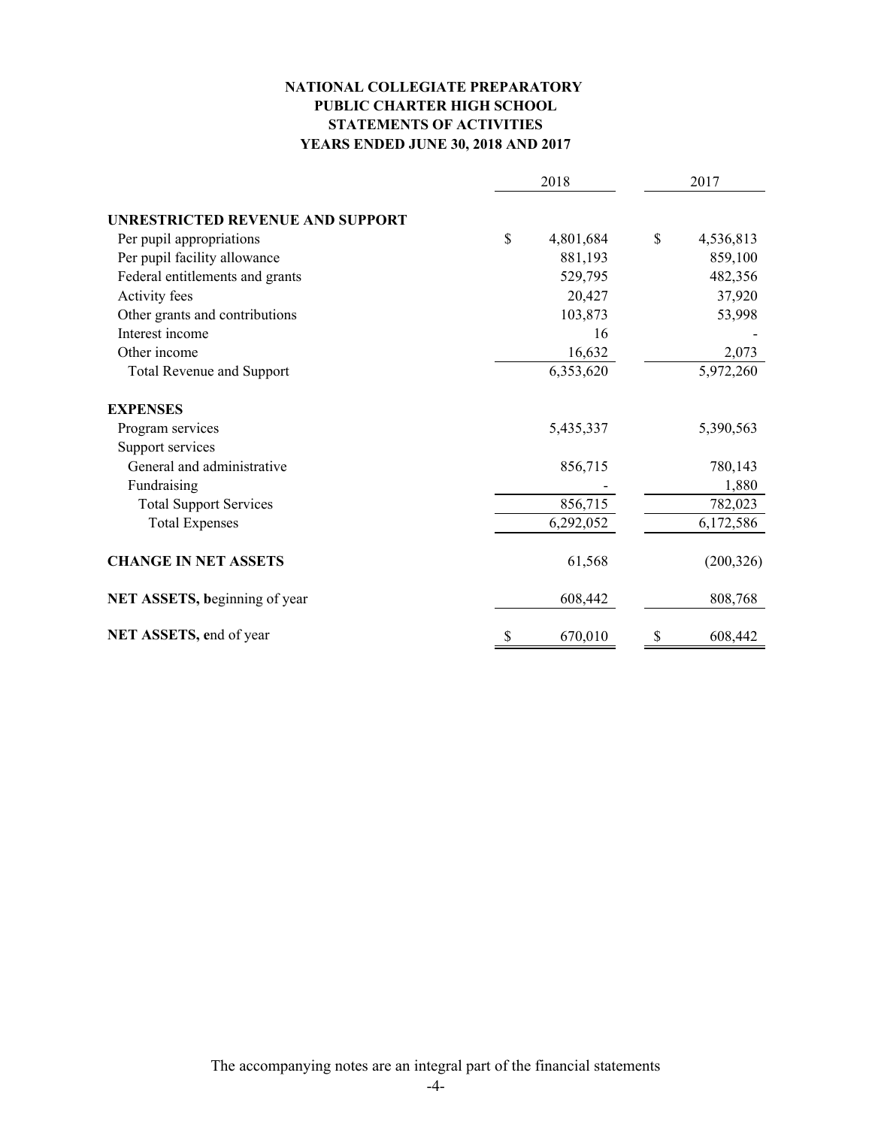## **NATIONAL COLLEGIATE PREPARATORY PUBLIC CHARTER HIGH SCHOOL STATEMENTS OF ACTIVITIES YEARS ENDED JUNE 30, 2018 AND 2017**

|                                  | 2018 |           | 2017 |            |
|----------------------------------|------|-----------|------|------------|
| UNRESTRICTED REVENUE AND SUPPORT |      |           |      |            |
| Per pupil appropriations         | \$   | 4,801,684 | \$   | 4,536,813  |
| Per pupil facility allowance     |      | 881,193   |      | 859,100    |
| Federal entitlements and grants  |      | 529,795   |      | 482,356    |
| Activity fees                    |      | 20,427    |      | 37,920     |
| Other grants and contributions   |      | 103,873   |      | 53,998     |
| Interest income                  |      | 16        |      |            |
| Other income                     |      | 16,632    |      | 2,073      |
| <b>Total Revenue and Support</b> |      | 6,353,620 |      | 5,972,260  |
| <b>EXPENSES</b>                  |      |           |      |            |
| Program services                 |      | 5,435,337 |      | 5,390,563  |
| Support services                 |      |           |      |            |
| General and administrative       |      | 856,715   |      | 780,143    |
| Fundraising                      |      |           |      | 1,880      |
| <b>Total Support Services</b>    |      | 856,715   |      | 782,023    |
| <b>Total Expenses</b>            |      | 6,292,052 |      | 6,172,586  |
| <b>CHANGE IN NET ASSETS</b>      |      | 61,568    |      | (200, 326) |
| NET ASSETS, beginning of year    |      | 608,442   |      | 808,768    |
| NET ASSETS, end of year          | \$   | 670,010   | \$   | 608,442    |

The accompanying notes are an integral part of the financial statements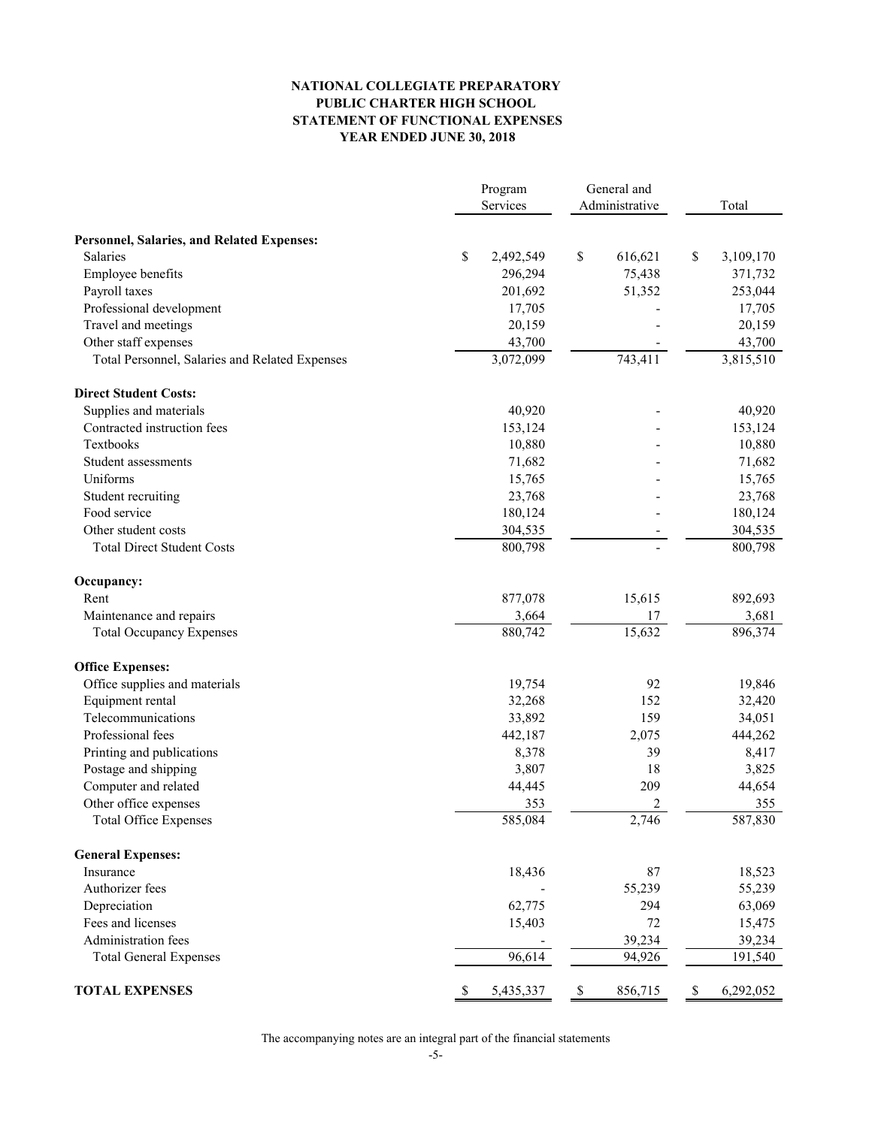#### **NATIONAL COLLEGIATE PREPARATORY PUBLIC CHARTER HIGH SCHOOL STATEMENT OF FUNCTIONAL EXPENSES YEAR ENDED JUNE 30, 2018**

|                                                | Program  |           | General and    |         |                 |
|------------------------------------------------|----------|-----------|----------------|---------|-----------------|
|                                                | Services |           | Administrative |         | Total           |
| Personnel, Salaries, and Related Expenses:     |          |           |                |         |                 |
| <b>Salaries</b>                                | \$       | 2,492,549 | \$             | 616,621 | \$<br>3,109,170 |
| Employee benefits                              |          | 296,294   |                | 75,438  | 371,732         |
| Payroll taxes                                  |          | 201,692   |                | 51,352  | 253,044         |
| Professional development                       |          | 17,705    |                |         | 17,705          |
| Travel and meetings                            |          | 20,159    |                |         | 20,159          |
| Other staff expenses                           |          | 43,700    |                |         | 43,700          |
| Total Personnel, Salaries and Related Expenses |          | 3,072,099 |                | 743,411 | 3,815,510       |
|                                                |          |           |                |         |                 |
| <b>Direct Student Costs:</b>                   |          |           |                |         |                 |
| Supplies and materials                         |          | 40,920    |                |         | 40,920          |
| Contracted instruction fees                    |          | 153,124   |                |         | 153,124         |
| Textbooks                                      |          | 10,880    |                |         | 10,880          |
| Student assessments                            |          | 71,682    |                |         | 71,682          |
| Uniforms                                       |          | 15,765    |                |         | 15,765          |
| Student recruiting                             |          | 23,768    |                |         | 23,768          |
| Food service                                   |          | 180,124   |                |         | 180,124         |
| Other student costs                            |          | 304,535   |                |         | 304,535         |
| <b>Total Direct Student Costs</b>              |          | 800,798   |                |         | 800,798         |
| Occupancy:                                     |          |           |                |         |                 |
| Rent                                           |          | 877,078   |                | 15,615  | 892,693         |
| Maintenance and repairs                        |          | 3,664     |                | 17      | 3,681           |
| <b>Total Occupancy Expenses</b>                |          | 880,742   |                | 15,632  | 896,374         |
| <b>Office Expenses:</b>                        |          |           |                |         |                 |
| Office supplies and materials                  |          | 19,754    |                | 92      | 19,846          |
| Equipment rental                               |          | 32,268    |                | 152     | 32,420          |
| Telecommunications                             |          | 33,892    |                | 159     | 34,051          |
| Professional fees                              |          | 442,187   |                | 2,075   | 444,262         |
| Printing and publications                      |          | 8,378     |                | 39      | 8,417           |
| Postage and shipping                           |          | 3,807     |                | 18      | 3,825           |
| Computer and related                           |          | 44,445    |                | 209     | 44,654          |
| Other office expenses                          |          | 353       |                | 2       | 355             |
| <b>Total Office Expenses</b>                   |          | 585,084   |                | 2,746   | 587,830         |
|                                                |          |           |                |         |                 |
| <b>General Expenses:</b>                       |          |           |                |         |                 |
| Insurance                                      |          | 18,436    |                | 87      | 18,523          |
| Authorizer fees                                |          |           |                | 55,239  | 55,239          |
| Depreciation                                   |          | 62,775    |                | 294     | 63,069          |
| Fees and licenses                              |          | 15,403    |                | 72      | 15,475          |
| Administration fees                            |          |           |                | 39,234  | 39,234          |
| <b>Total General Expenses</b>                  |          | 96,614    |                | 94,926  | 191,540         |
| <b>TOTAL EXPENSES</b>                          | \$       | 5,435,337 | $\mathbb S$    | 856,715 | \$<br>6,292,052 |

The accompanying notes are an integral part of the financial statements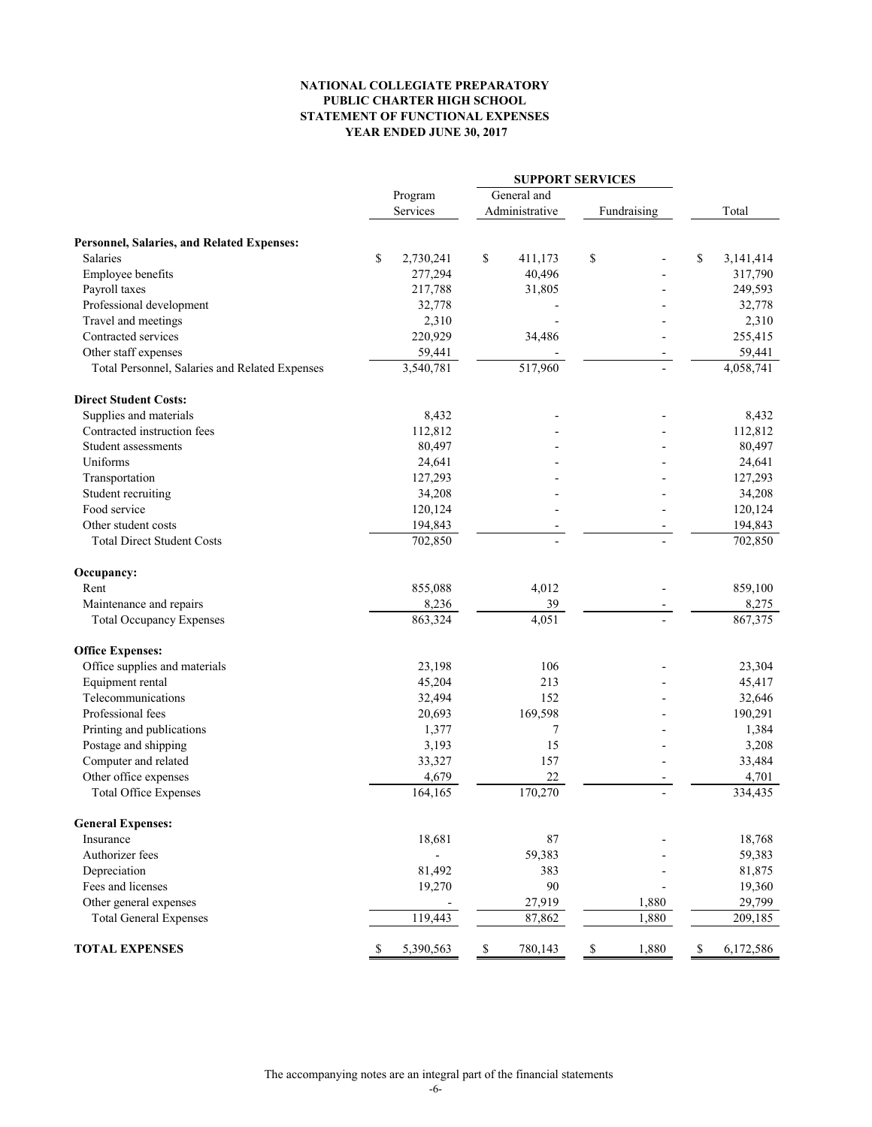#### **NATIONAL COLLEGIATE PREPARATORY PUBLIC CHARTER HIGH SCHOOL STATEMENT OF FUNCTIONAL EXPENSES YEAR ENDED JUNE 30, 2017**

|                                                   |                 | <b>SUPPORT SERVICES</b> |                      |                 |
|---------------------------------------------------|-----------------|-------------------------|----------------------|-----------------|
|                                                   | Program         | General and             |                      |                 |
|                                                   | Services        | Administrative          | Fundraising          | Total           |
| <b>Personnel, Salaries, and Related Expenses:</b> |                 |                         |                      |                 |
| <b>Salaries</b>                                   | \$<br>2,730,241 | \$<br>411,173           | \$                   | \$<br>3,141,414 |
| Employee benefits                                 | 277,294         | 40,496                  |                      | 317,790         |
| Payroll taxes                                     | 217,788         | 31,805                  |                      | 249,593         |
| Professional development                          | 32,778          |                         |                      | 32,778          |
| Travel and meetings                               | 2,310           |                         |                      | 2,310           |
| Contracted services                               | 220,929         | 34,486                  |                      | 255,415         |
| Other staff expenses                              | 59,441          |                         |                      | 59,441          |
| Total Personnel, Salaries and Related Expenses    | 3,540,781       | 517,960                 |                      | 4,058,741       |
| <b>Direct Student Costs:</b>                      |                 |                         |                      |                 |
| Supplies and materials                            | 8,432           |                         |                      | 8,432           |
| Contracted instruction fees                       | 112,812         |                         |                      | 112,812         |
| Student assessments                               | 80,497          |                         |                      | 80,497          |
| Uniforms                                          | 24,641          |                         |                      | 24,641          |
| Transportation                                    | 127,293         |                         |                      | 127,293         |
| Student recruiting                                | 34,208          |                         |                      | 34,208          |
| Food service                                      | 120,124         |                         |                      | 120,124         |
| Other student costs                               | 194,843         |                         |                      | 194,843         |
| <b>Total Direct Student Costs</b>                 | 702,850         |                         |                      | 702,850         |
| Occupancy:                                        |                 |                         |                      |                 |
| Rent                                              | 855,088         | 4,012                   |                      | 859,100         |
| Maintenance and repairs                           | 8,236           | 39                      |                      | 8,275           |
| <b>Total Occupancy Expenses</b>                   | 863,324         | 4,051                   |                      | 867,375         |
| <b>Office Expenses:</b>                           |                 |                         |                      |                 |
| Office supplies and materials                     | 23,198          | 106                     |                      | 23,304          |
| Equipment rental                                  | 45,204          | 213                     |                      | 45,417          |
| Telecommunications                                | 32,494          | 152                     |                      | 32,646          |
| Professional fees                                 | 20,693          | 169,598                 |                      | 190,291         |
| Printing and publications                         | 1,377           | 7                       |                      | 1,384           |
| Postage and shipping                              | 3,193           | 15                      |                      | 3,208           |
| Computer and related                              | 33,327          | 157                     |                      | 33,484          |
| Other office expenses                             | 4,679           | 22                      |                      | 4,701           |
| <b>Total Office Expenses</b>                      | 164,165         | 170,270                 |                      | 334,435         |
| <b>General Expenses:</b>                          |                 |                         |                      |                 |
| Insurance                                         | 18,681          | 87                      |                      | 18,768          |
| Authorizer fees                                   | $\overline{a}$  | 59,383                  |                      | 59,383          |
| Depreciation                                      | 81,492          | 383                     |                      | 81,875          |
| Fees and licenses                                 | 19,270          | 90                      |                      | 19,360          |
| Other general expenses                            |                 | 27,919                  | 1,880                | 29,799          |
| <b>Total General Expenses</b>                     | 119,443         | 87,862                  | 1,880                | 209,185         |
| <b>TOTAL EXPENSES</b>                             | \$<br>5,390,563 | $\$$<br>780,143         | $\mathbb S$<br>1,880 | \$<br>6,172,586 |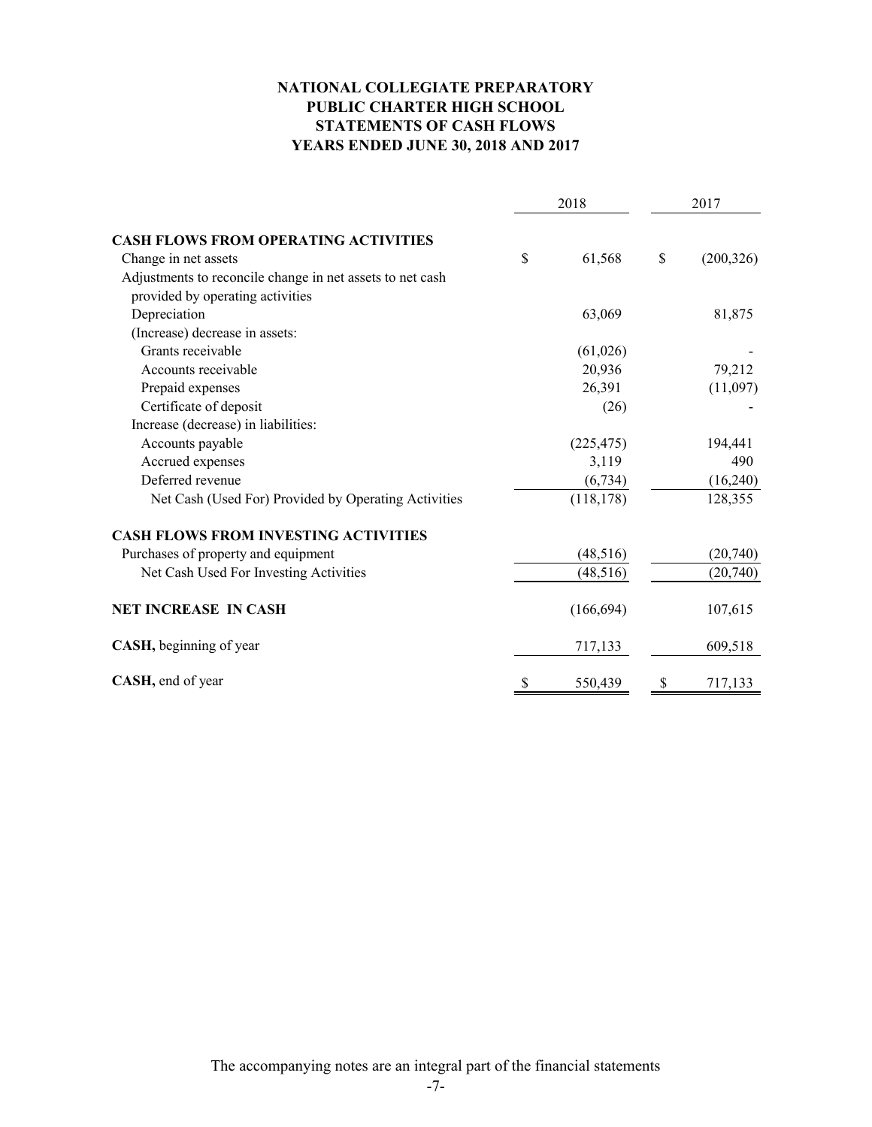## **NATIONAL COLLEGIATE PREPARATORY PUBLIC CHARTER HIGH SCHOOL STATEMENTS OF CASH FLOWS YEARS ENDED JUNE 30, 2018 AND 2017**

|                                                                                               | 2018 |            | 2017 |            |  |
|-----------------------------------------------------------------------------------------------|------|------------|------|------------|--|
| <b>CASH FLOWS FROM OPERATING ACTIVITIES</b>                                                   |      |            |      |            |  |
| Change in net assets                                                                          | \$   | 61,568     | \$   | (200, 326) |  |
| Adjustments to reconcile change in net assets to net cash<br>provided by operating activities |      |            |      |            |  |
| Depreciation                                                                                  |      | 63,069     |      | 81,875     |  |
| (Increase) decrease in assets:                                                                |      |            |      |            |  |
| Grants receivable                                                                             |      | (61, 026)  |      |            |  |
| Accounts receivable                                                                           |      | 20,936     |      | 79,212     |  |
| Prepaid expenses                                                                              |      | 26,391     |      | (11,097)   |  |
| Certificate of deposit                                                                        |      | (26)       |      |            |  |
| Increase (decrease) in liabilities:                                                           |      |            |      |            |  |
| Accounts payable                                                                              |      | (225, 475) |      | 194,441    |  |
| Accrued expenses                                                                              |      | 3,119      |      | 490        |  |
| Deferred revenue                                                                              |      | (6, 734)   |      | (16,240)   |  |
| Net Cash (Used For) Provided by Operating Activities                                          |      | (118, 178) |      | 128,355    |  |
| <b>CASH FLOWS FROM INVESTING ACTIVITIES</b>                                                   |      |            |      |            |  |
| Purchases of property and equipment                                                           |      | (48, 516)  |      | (20, 740)  |  |
| Net Cash Used For Investing Activities                                                        |      | (48, 516)  |      | (20, 740)  |  |
| <b>NET INCREASE IN CASH</b>                                                                   |      | (166, 694) |      | 107,615    |  |
| CASH, beginning of year                                                                       |      | 717,133    |      | 609,518    |  |
| CASH, end of year                                                                             | \$   | 550,439    | \$   | 717,133    |  |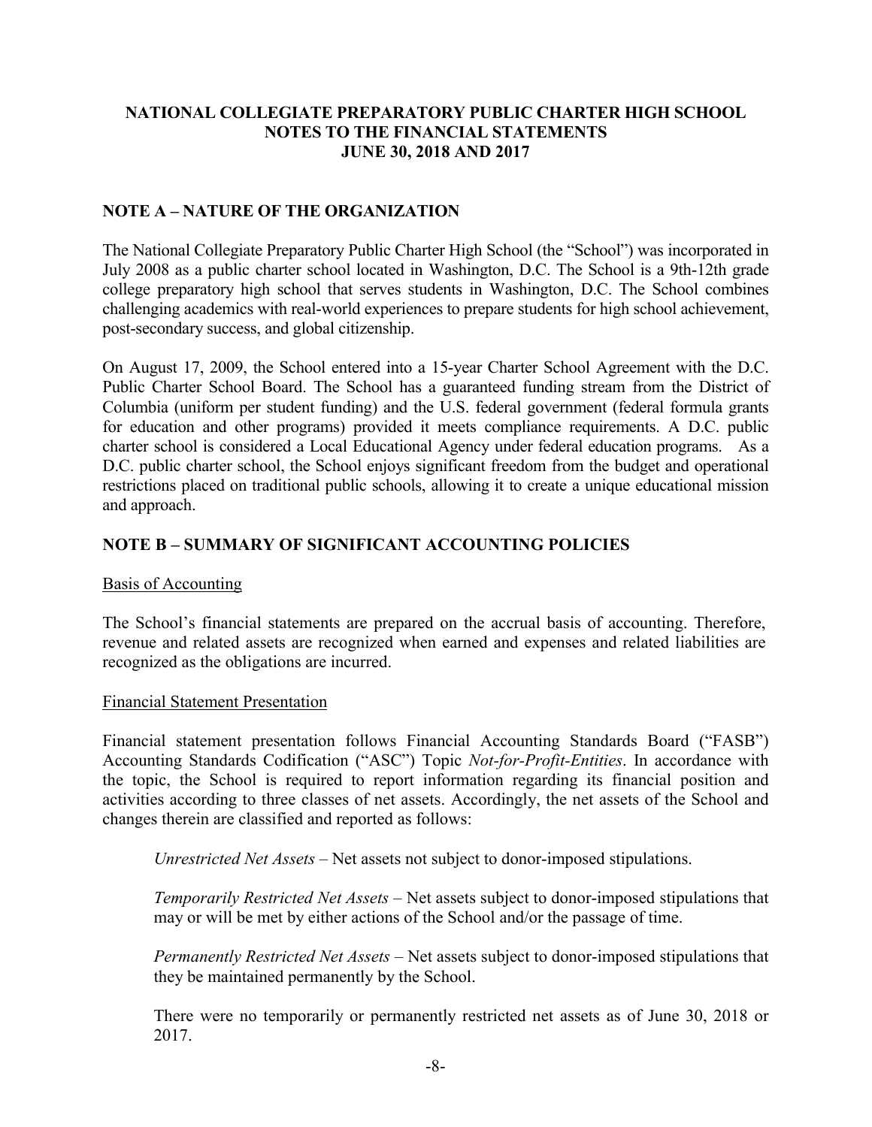# **NOTE A – NATURE OF THE ORGANIZATION**

The National Collegiate Preparatory Public Charter High School (the "School") was incorporated in July 2008 as a public charter school located in Washington, D.C. The School is a 9th-12th grade college preparatory high school that serves students in Washington, D.C. The School combines challenging academics with real-world experiences to prepare students for high school achievement, post-secondary success, and global citizenship.

On August 17, 2009, the School entered into a 15-year Charter School Agreement with the D.C. Public Charter School Board. The School has a guaranteed funding stream from the District of Columbia (uniform per student funding) and the U.S. federal government (federal formula grants for education and other programs) provided it meets compliance requirements. A D.C. public charter school is considered a Local Educational Agency under federal education programs. As a D.C. public charter school, the School enjoys significant freedom from the budget and operational restrictions placed on traditional public schools, allowing it to create a unique educational mission and approach.

# **NOTE B – SUMMARY OF SIGNIFICANT ACCOUNTING POLICIES**

# Basis of Accounting

The School's financial statements are prepared on the accrual basis of accounting. Therefore, revenue and related assets are recognized when earned and expenses and related liabilities are recognized as the obligations are incurred.

## Financial Statement Presentation

Financial statement presentation follows Financial Accounting Standards Board ("FASB") Accounting Standards Codification ("ASC") Topic *Not-for-Profit-Entities*. In accordance with the topic, the School is required to report information regarding its financial position and activities according to three classes of net assets. Accordingly, the net assets of the School and changes therein are classified and reported as follows:

*Unrestricted Net Assets* – Net assets not subject to donor-imposed stipulations.

*Temporarily Restricted Net Assets* – Net assets subject to donor-imposed stipulations that may or will be met by either actions of the School and/or the passage of time.

*Permanently Restricted Net Assets* – Net assets subject to donor-imposed stipulations that they be maintained permanently by the School.

There were no temporarily or permanently restricted net assets as of June 30, 2018 or 2017.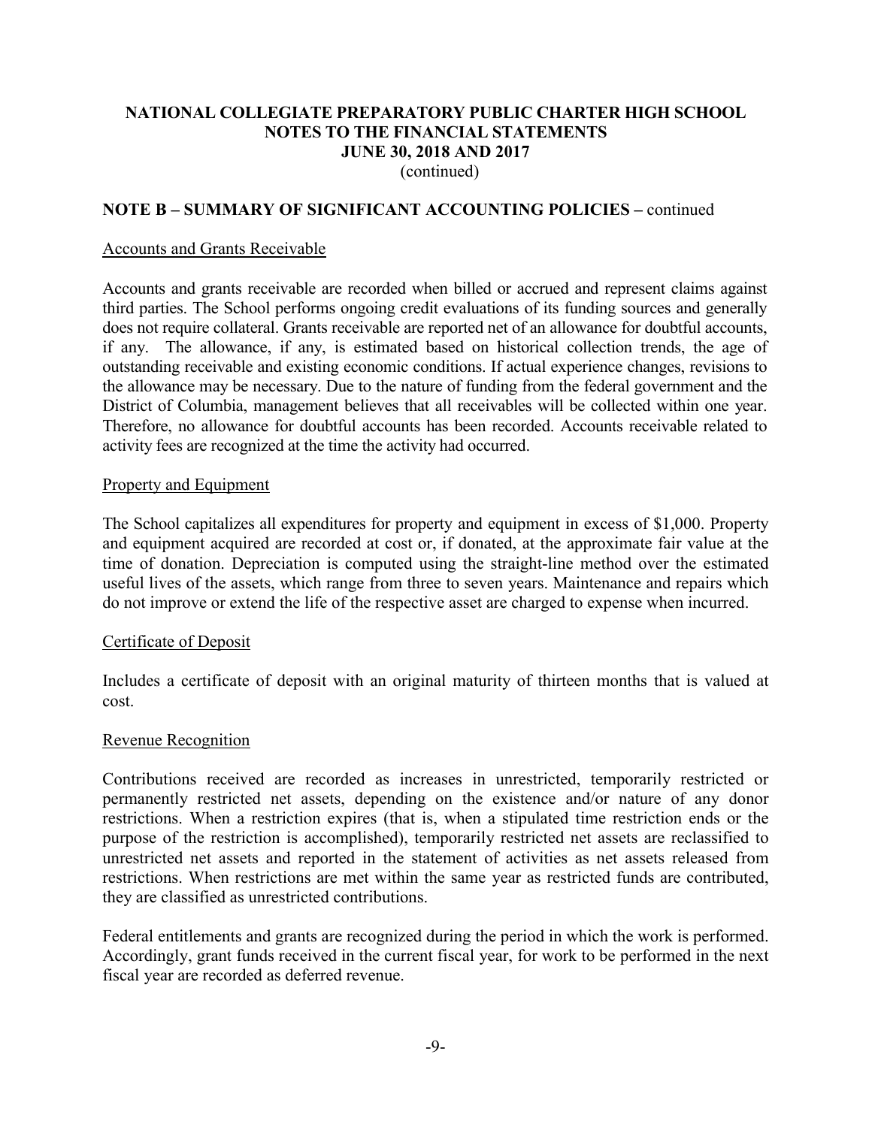(continued)

## **NOTE B – SUMMARY OF SIGNIFICANT ACCOUNTING POLICIES –** continued

### Accounts and Grants Receivable

Accounts and grants receivable are recorded when billed or accrued and represent claims against third parties. The School performs ongoing credit evaluations of its funding sources and generally does not require collateral. Grants receivable are reported net of an allowance for doubtful accounts, if any. The allowance, if any, is estimated based on historical collection trends, the age of outstanding receivable and existing economic conditions. If actual experience changes, revisions to the allowance may be necessary. Due to the nature of funding from the federal government and the District of Columbia, management believes that all receivables will be collected within one year. Therefore, no allowance for doubtful accounts has been recorded. Accounts receivable related to activity fees are recognized at the time the activity had occurred.

### Property and Equipment

The School capitalizes all expenditures for property and equipment in excess of \$1,000. Property and equipment acquired are recorded at cost or, if donated, at the approximate fair value at the time of donation. Depreciation is computed using the straight-line method over the estimated useful lives of the assets, which range from three to seven years. Maintenance and repairs which do not improve or extend the life of the respective asset are charged to expense when incurred.

## Certificate of Deposit

Includes a certificate of deposit with an original maturity of thirteen months that is valued at cost.

### Revenue Recognition

Contributions received are recorded as increases in unrestricted, temporarily restricted or permanently restricted net assets, depending on the existence and/or nature of any donor restrictions. When a restriction expires (that is, when a stipulated time restriction ends or the purpose of the restriction is accomplished), temporarily restricted net assets are reclassified to unrestricted net assets and reported in the statement of activities as net assets released from restrictions. When restrictions are met within the same year as restricted funds are contributed, they are classified as unrestricted contributions.

Federal entitlements and grants are recognized during the period in which the work is performed. Accordingly, grant funds received in the current fiscal year, for work to be performed in the next fiscal year are recorded as deferred revenue.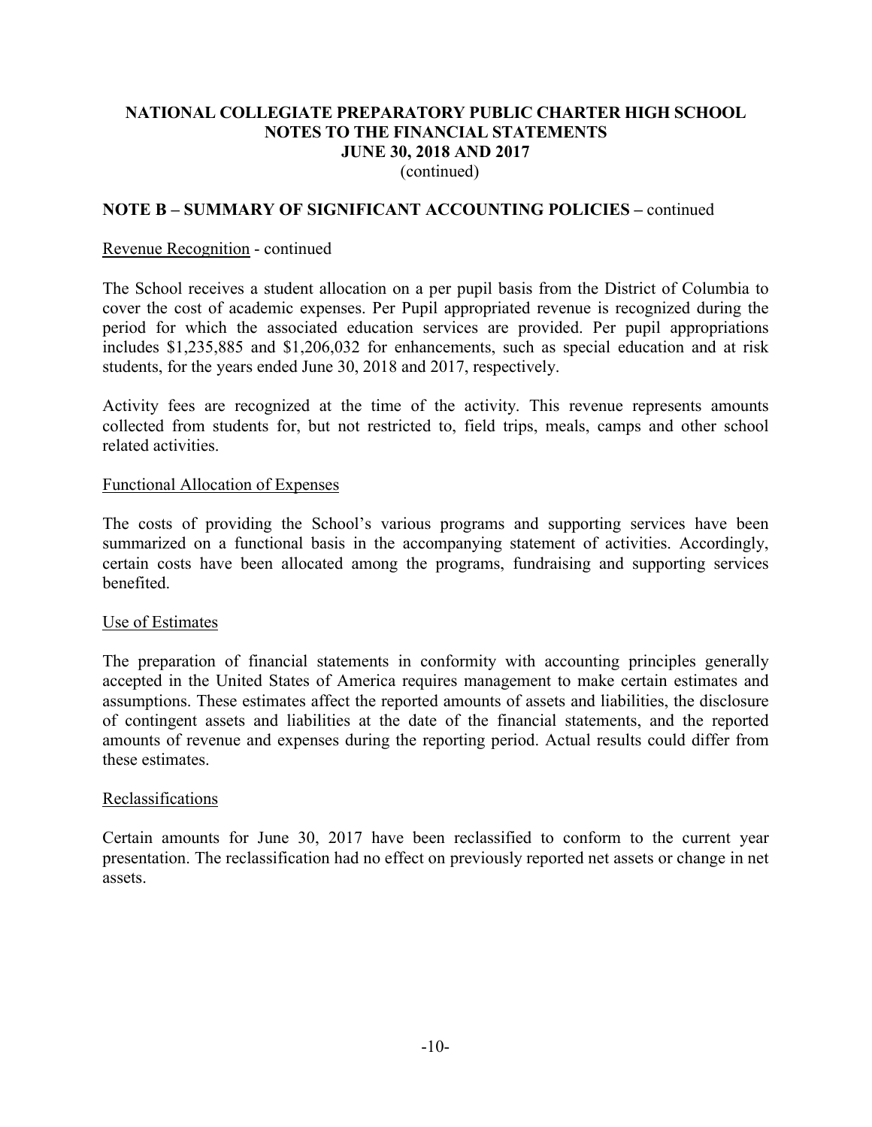(continued)

## **NOTE B – SUMMARY OF SIGNIFICANT ACCOUNTING POLICIES –** continued

### Revenue Recognition - continued

The School receives a student allocation on a per pupil basis from the District of Columbia to cover the cost of academic expenses. Per Pupil appropriated revenue is recognized during the period for which the associated education services are provided. Per pupil appropriations includes \$1,235,885 and \$1,206,032 for enhancements, such as special education and at risk students, for the years ended June 30, 2018 and 2017, respectively.

Activity fees are recognized at the time of the activity. This revenue represents amounts collected from students for, but not restricted to, field trips, meals, camps and other school related activities.

### Functional Allocation of Expenses

The costs of providing the School's various programs and supporting services have been summarized on a functional basis in the accompanying statement of activities. Accordingly, certain costs have been allocated among the programs, fundraising and supporting services benefited.

### Use of Estimates

The preparation of financial statements in conformity with accounting principles generally accepted in the United States of America requires management to make certain estimates and assumptions. These estimates affect the reported amounts of assets and liabilities, the disclosure of contingent assets and liabilities at the date of the financial statements, and the reported amounts of revenue and expenses during the reporting period. Actual results could differ from these estimates.

### Reclassifications

Certain amounts for June 30, 2017 have been reclassified to conform to the current year presentation. The reclassification had no effect on previously reported net assets or change in net assets.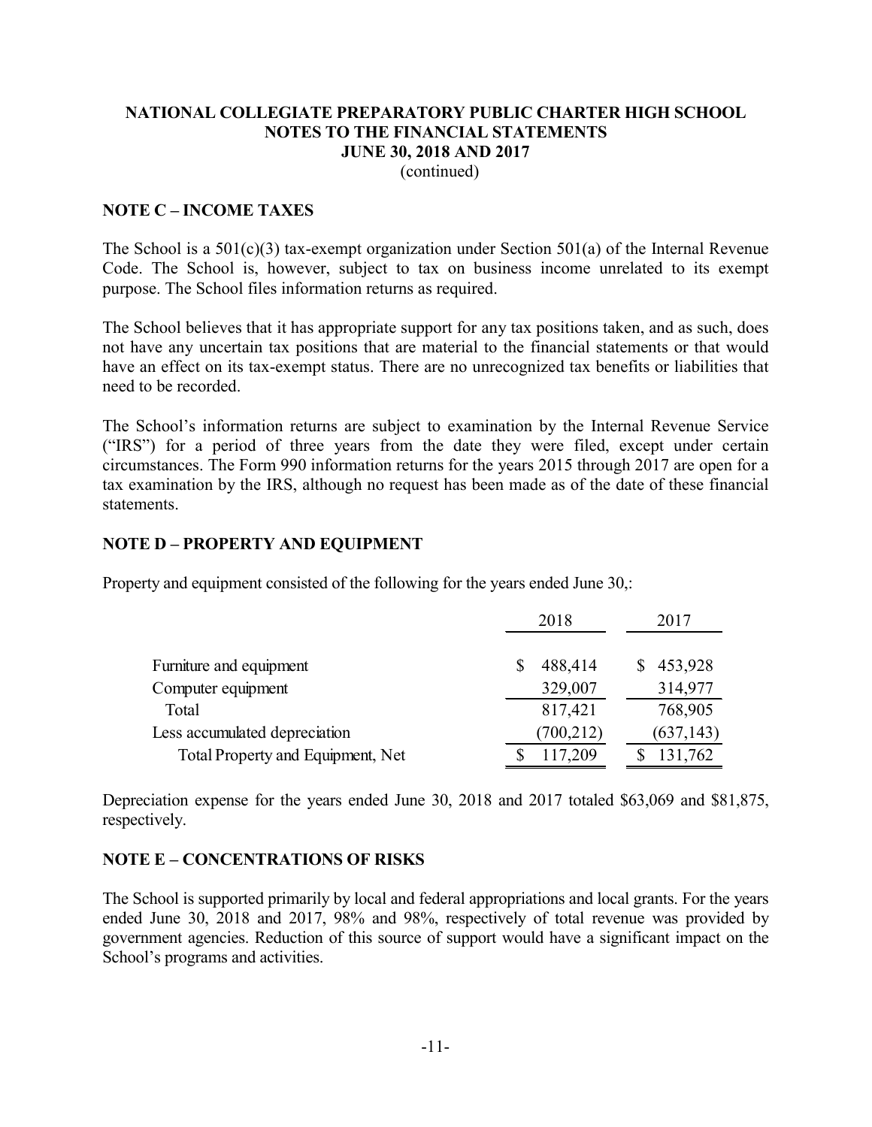(continued)

## **NOTE C – INCOME TAXES**

The School is a 501(c)(3) tax-exempt organization under Section 501(a) of the Internal Revenue Code. The School is, however, subject to tax on business income unrelated to its exempt purpose. The School files information returns as required.

The School believes that it has appropriate support for any tax positions taken, and as such, does not have any uncertain tax positions that are material to the financial statements or that would have an effect on its tax-exempt status. There are no unrecognized tax benefits or liabilities that need to be recorded.

The School's information returns are subject to examination by the Internal Revenue Service ("IRS") for a period of three years from the date they were filed, except under certain circumstances. The Form 990 information returns for the years 2015 through 2017 are open for a tax examination by the IRS, although no request has been made as of the date of these financial statements.

## **NOTE D – PROPERTY AND EQUIPMENT**

Property and equipment consisted of the following for the years ended June 30,:

|                                   | 2018 |            | 2017 |            |
|-----------------------------------|------|------------|------|------------|
| Furniture and equipment           |      | 488,414    | S.   | 453,928    |
| Computer equipment                |      | 329,007    |      | 314,977    |
| Total                             |      | 817,421    |      | 768,905    |
| Less accumulated depreciation     |      | (700, 212) |      | (637, 143) |
| Total Property and Equipment, Net |      | 117,209    |      | 131,762    |

Depreciation expense for the years ended June 30, 2018 and 2017 totaled \$63,069 and \$81,875, respectively.

## **NOTE E – CONCENTRATIONS OF RISKS**

The School is supported primarily by local and federal appropriations and local grants. For the years ended June 30, 2018 and 2017, 98% and 98%, respectively of total revenue was provided by government agencies. Reduction of this source of support would have a significant impact on the School's programs and activities.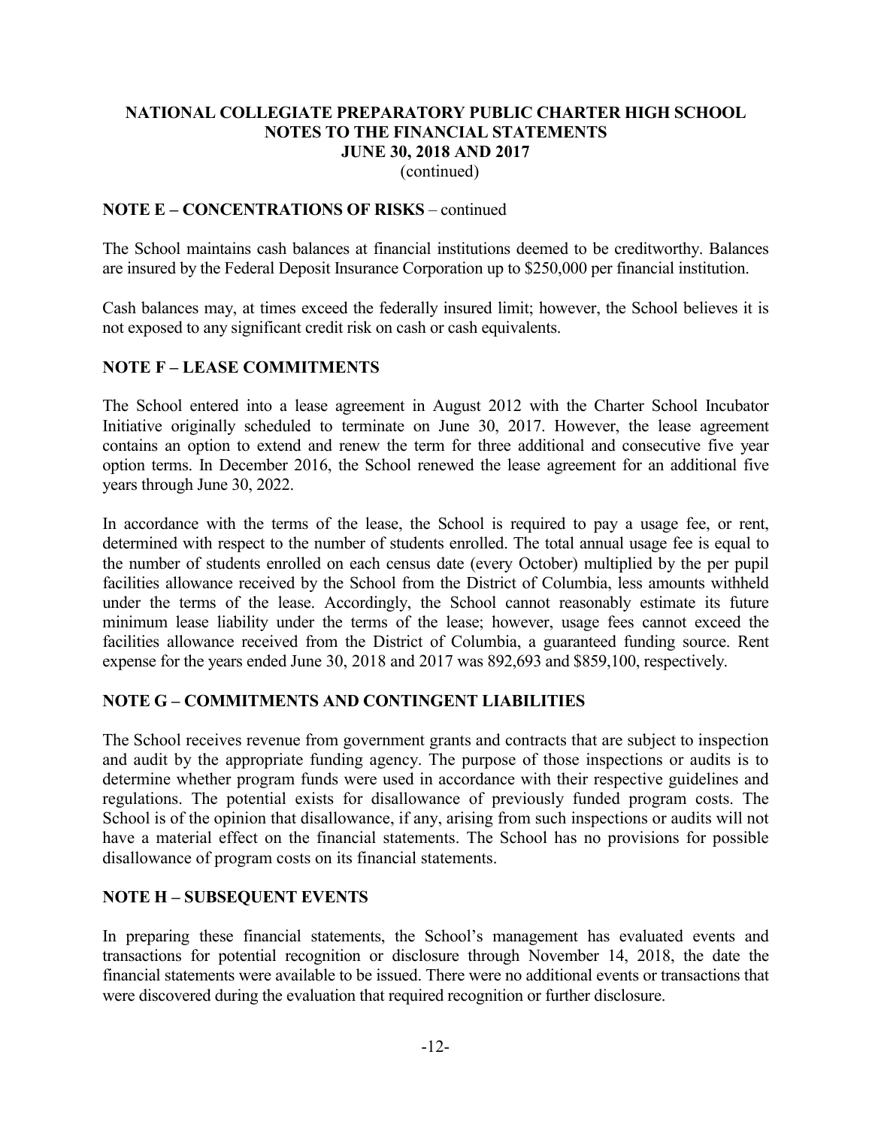(continued)

## **NOTE E – CONCENTRATIONS OF RISKS** – continued

The School maintains cash balances at financial institutions deemed to be creditworthy. Balances are insured by the Federal Deposit Insurance Corporation up to \$250,000 per financial institution.

Cash balances may, at times exceed the federally insured limit; however, the School believes it is not exposed to any significant credit risk on cash or cash equivalents.

## **NOTE F – LEASE COMMITMENTS**

The School entered into a lease agreement in August 2012 with the Charter School Incubator Initiative originally scheduled to terminate on June 30, 2017. However, the lease agreement contains an option to extend and renew the term for three additional and consecutive five year option terms. In December 2016, the School renewed the lease agreement for an additional five years through June 30, 2022.

In accordance with the terms of the lease, the School is required to pay a usage fee, or rent, determined with respect to the number of students enrolled. The total annual usage fee is equal to the number of students enrolled on each census date (every October) multiplied by the per pupil facilities allowance received by the School from the District of Columbia, less amounts withheld under the terms of the lease. Accordingly, the School cannot reasonably estimate its future minimum lease liability under the terms of the lease; however, usage fees cannot exceed the facilities allowance received from the District of Columbia, a guaranteed funding source. Rent expense for the years ended June 30, 2018 and 2017 was 892,693 and \$859,100, respectively.

# **NOTE G – COMMITMENTS AND CONTINGENT LIABILITIES**

The School receives revenue from government grants and contracts that are subject to inspection and audit by the appropriate funding agency. The purpose of those inspections or audits is to determine whether program funds were used in accordance with their respective guidelines and regulations. The potential exists for disallowance of previously funded program costs. The School is of the opinion that disallowance, if any, arising from such inspections or audits will not have a material effect on the financial statements. The School has no provisions for possible disallowance of program costs on its financial statements.

## **NOTE H – SUBSEQUENT EVENTS**

In preparing these financial statements, the School's management has evaluated events and transactions for potential recognition or disclosure through November 14, 2018, the date the financial statements were available to be issued. There were no additional events or transactions that were discovered during the evaluation that required recognition or further disclosure.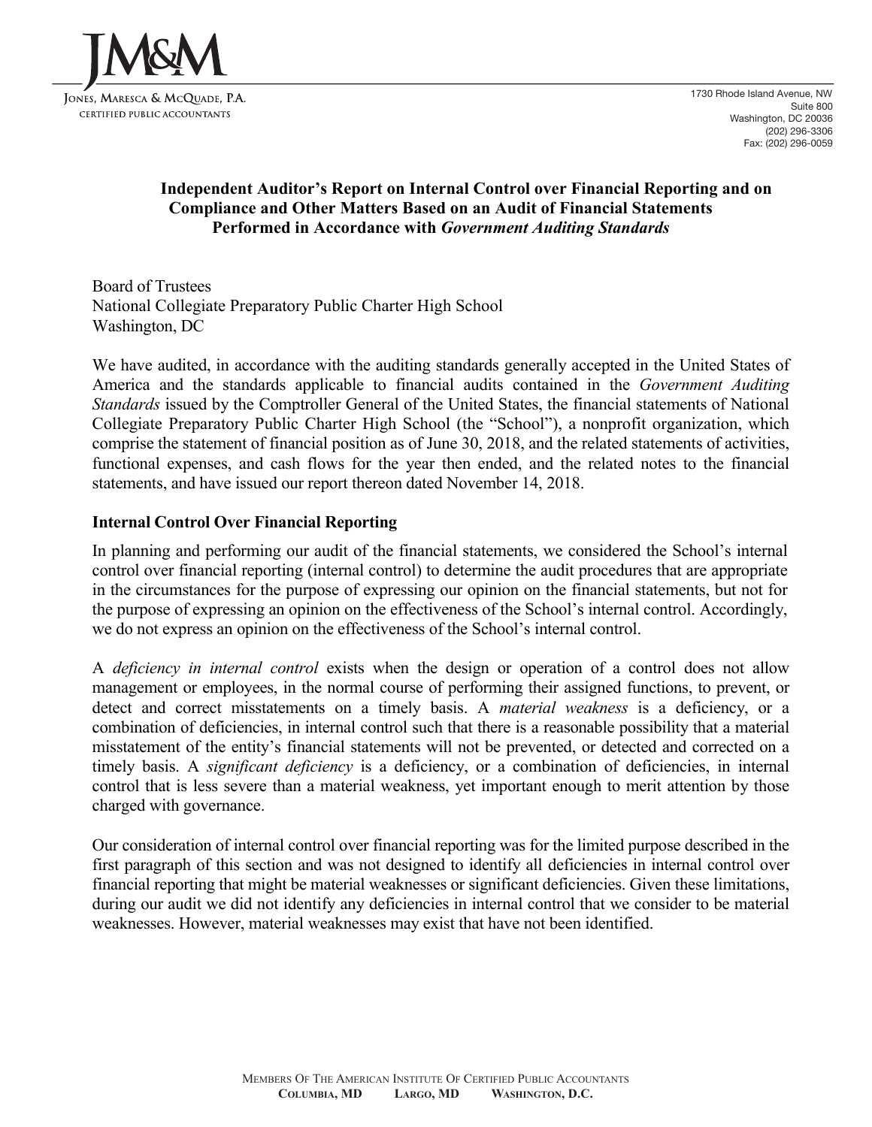

# **Independent Auditor's Report on Internal Control over Financial Reporting and on Compliance and Other Matters Based on an Audit of Financial Statements Performed in Accordance with** *Government Auditing Standards*

Board of Trustees National Collegiate Preparatory Public Charter High School Washington, DC

We have audited, in accordance with the auditing standards generally accepted in the United States of America and the standards applicable to financial audits contained in the *Government Auditing Standards* issued by the Comptroller General of the United States, the financial statements of National Collegiate Preparatory Public Charter High School (the "School"), a nonprofit organization, which comprise the statement of financial position as of June 30, 2018, and the related statements of activities, functional expenses, and cash flows for the year then ended, and the related notes to the financial statements, and have issued our report thereon dated November 14, 2018.

# **Internal Control Over Financial Reporting**

In planning and performing our audit of the financial statements, we considered the School's internal control over financial reporting (internal control) to determine the audit procedures that are appropriate in the circumstances for the purpose of expressing our opinion on the financial statements, but not for the purpose of expressing an opinion on the effectiveness of the School's internal control. Accordingly, we do not express an opinion on the effectiveness of the School's internal control.

A *deficiency in internal control* exists when the design or operation of a control does not allow management or employees, in the normal course of performing their assigned functions, to prevent, or detect and correct misstatements on a timely basis. A *material weakness* is a deficiency, or a combination of deficiencies, in internal control such that there is a reasonable possibility that a material misstatement of the entity's financial statements will not be prevented, or detected and corrected on a timely basis. A *significant deficiency* is a deficiency, or a combination of deficiencies, in internal control that is less severe than a material weakness, yet important enough to merit attention by those charged with governance.

Our consideration of internal control over financial reporting was for the limited purpose described in the first paragraph of this section and was not designed to identify all deficiencies in internal control over financial reporting that might be material weaknesses or significant deficiencies. Given these limitations, during our audit we did not identify any deficiencies in internal control that we consider to be material weaknesses. However, material weaknesses may exist that have not been identified.